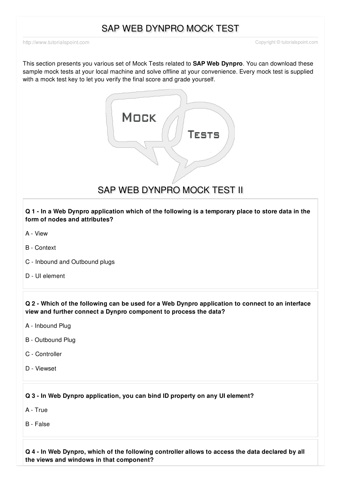# SAP WEB DYNPRO MOCK TEST

<http://www.tutorialspoint.com> Copyright © tutorialspoint.com

This section presents you various set of Mock Tests related to **SAP Web Dynpro**. You can download these sample mock tests at your local machine and solve offline at your convenience. Every mock test is supplied with a mock test key to let you verify the final score and grade yourself.



SAP WEB DYNPRO MOCK TEST II

Q 1 - In a Web Dynpro application which of the following is a temporary place to store data in the **form of nodes and attributes?**

- A [View](javascript:void(0);)
- B [Context](javascript:void(0);)
- C Inbound and [Outbound](javascript:void(0);) plugs
- D UI [element](javascript:void(0);)

Q 2 - Which of the following can be used for a Web Dynpro application to connect to an interface **view and further connect a Dynpro component to process the data?**

- A [Inbound](javascript:void(0);) Plug
- B [Outbound](javascript:void(0);) Plug
- C [Controller](javascript:void(0);)
- D [Viewset](javascript:void(0);)

**Q 3 - In Web Dynpro application, you can bind ID property on any UI element?**

A - [True](javascript:void(0);)

B - [False](javascript:void(0);)

Q 4 - In Web Dynpro, which of the following controller allows to access the data declared by all **the views and windows in that component?**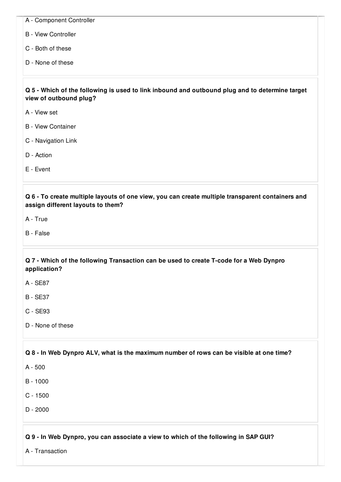- A [Component](javascript:void(0);) Controller
- B View [Controller](javascript:void(0);)
- C Both of [these](javascript:void(0);)
- D None of [these](javascript:void(0);)

Q 5 - Which of the following is used to link inbound and outbound plug and to determine target **view of outbound plug?**

- A [View](javascript:void(0);) set
- B View [Container](javascript:void(0);)
- C [Navigation](javascript:void(0);) Link
- D [Action](javascript:void(0);)
- E [Event](javascript:void(0);)

**Q 6 - To create multiple layouts of one view, you can create multiple transparent containers and assign different layouts to them?**

- A [True](javascript:void(0);)
- B [False](javascript:void(0);)

## **Q 7 - Which of the following Transaction can be used to create T-code for a Web Dynpro application?**

- A [SE87](javascript:void(0);)
- B [SE37](javascript:void(0);)
- C [SE93](javascript:void(0);)
- D None of [these](javascript:void(0);)

## Q 8 - In Web Dynpro ALV, what is the maximum number of rows can be visible at one time?

A - [500](javascript:void(0);)

- $B 1000$  $B 1000$
- C [1500](javascript:void(0);)
- D [2000](javascript:void(0);)

## **Q 9 - In Web Dynpro, you can associate a view to which of the following in SAP GUI?**

A - [Transaction](javascript:void(0);)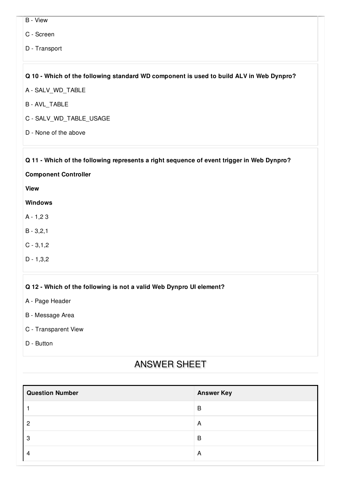- B [View](javascript:void(0);)
- C [Screen](javascript:void(0);)
- D [Transport](javascript:void(0);)

### **Q 10 - Which of the following standard WD component is used to build ALV in Web Dynpro?**

- A [SALV\\_WD\\_TABLE](javascript:void(0);)
- B [AVL\\_TABLE](javascript:void(0);)
- C [SALV\\_WD\\_TABLE\\_USAGE](javascript:void(0);)
- D None of the [above](javascript:void(0);)

### **Q 11 - Which of the following represents a right sequence of event trigger in Web Dynpro?**

**Component Controller**

**View**

#### **Windows**

- A [1,2](javascript:void(0);) 3
- B [3,2,1](javascript:void(0);)
- $C 3, 1, 2$
- D [1,3,2](javascript:void(0);)

#### **Q 12 - Which of the following is not a valid Web Dynpro UI element?**

- A Page [Header](javascript:void(0);)
- B [Message](javascript:void(0);) Area
- C [Transparent](javascript:void(0);) View
- D [Button](javascript:void(0);)

# ANSWER SHEET

| <b>Question Number</b> | <b>Answer Key</b> |
|------------------------|-------------------|
|                        | B                 |
| റ                      | A                 |
| റ<br>Q                 | B                 |
| $\prime$               | A                 |